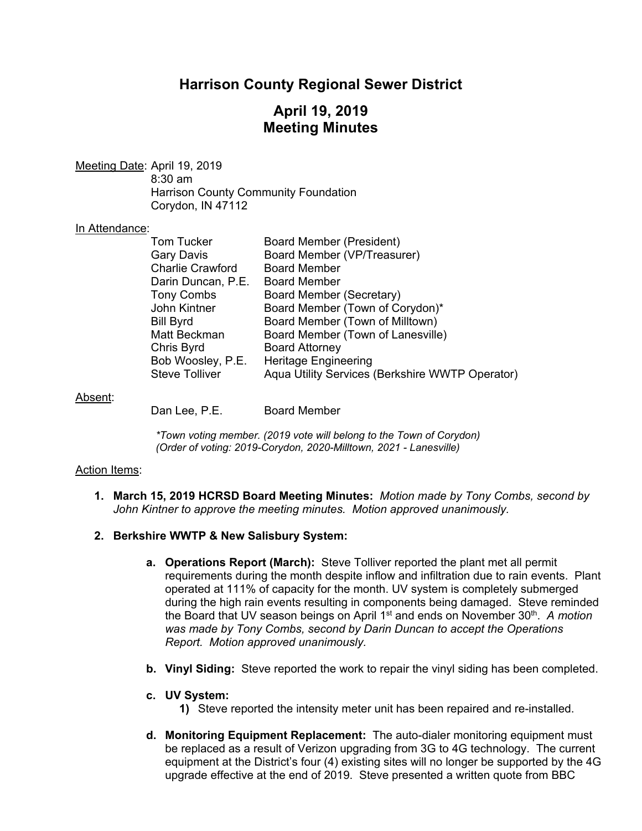# **Harrison County Regional Sewer District**

# **April 19, 2019 Meeting Minutes**

Meeting Date: April 19, 2019 8:30 am Harrison County Community Foundation Corydon, IN 47112

## In Attendance:

| Tom Tucker              | <b>Board Member (President)</b>                 |
|-------------------------|-------------------------------------------------|
| Gary Davis              | Board Member (VP/Treasurer)                     |
| <b>Charlie Crawford</b> | <b>Board Member</b>                             |
| Darin Duncan, P.E.      | <b>Board Member</b>                             |
| <b>Tony Combs</b>       | Board Member (Secretary)                        |
| John Kintner            | Board Member (Town of Corydon)*                 |
| Bill Byrd               | Board Member (Town of Milltown)                 |
| Matt Beckman            | Board Member (Town of Lanesville)               |
| Chris Byrd              | <b>Board Attorney</b>                           |
| Bob Woosley, P.E.       | <b>Heritage Engineering</b>                     |
| Steve Tolliver          | Aqua Utility Services (Berkshire WWTP Operator) |
|                         |                                                 |

#### Absent:

Dan Lee, P.E. Board Member

*\*Town voting member. (2019 vote will belong to the Town of Corydon) (Order of voting: 2019-Corydon, 2020-Milltown, 2021 - Lanesville)* 

## Action Items:

**1. March 15, 2019 HCRSD Board Meeting Minutes:** *Motion made by Tony Combs, second by John Kintner to approve the meeting minutes. Motion approved unanimously.*

## **2. Berkshire WWTP & New Salisbury System:**

- **a. Operations Report (March):** Steve Tolliver reported the plant met all permit requirements during the month despite inflow and infiltration due to rain events. Plant operated at 111% of capacity for the month. UV system is completely submerged during the high rain events resulting in components being damaged. Steve reminded the Board that UV season beings on April 1st and ends on November 30th. *A motion was made by Tony Combs, second by Darin Duncan to accept the Operations Report. Motion approved unanimously.*
- **b. Vinyl Siding:** Steve reported the work to repair the vinyl siding has been completed.
- **c. UV System:** 
	- **1)** Steve reported the intensity meter unit has been repaired and re-installed.
- **d. Monitoring Equipment Replacement:** The auto-dialer monitoring equipment must be replaced as a result of Verizon upgrading from 3G to 4G technology. The current equipment at the District's four (4) existing sites will no longer be supported by the 4G upgrade effective at the end of 2019. Steve presented a written quote from BBC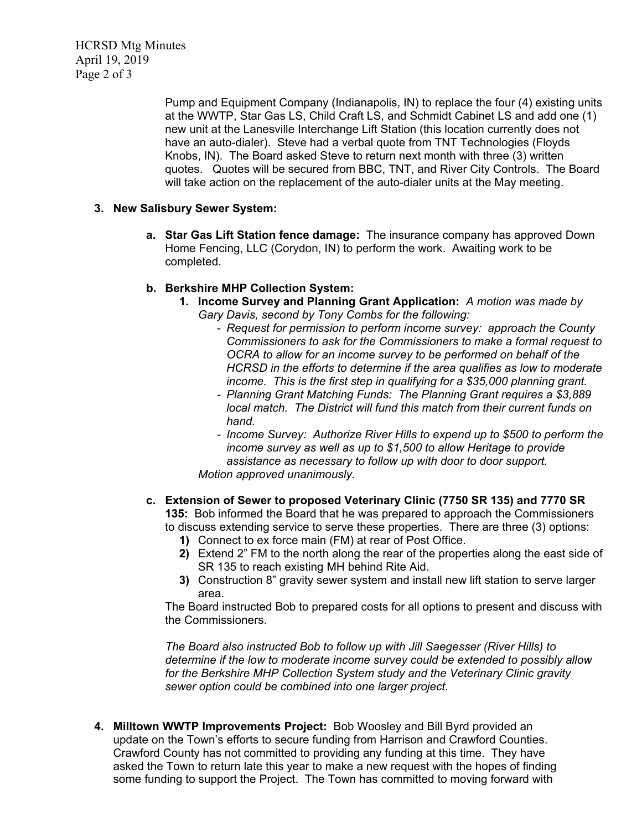HCRSD Mtg Minutes April 19, 2019 Page 2 of 3

> Pump and Equipment Company (Indianapolis, IN) to replace the four (4) existing units at the WWTP, Star Gas LS, Child Craft LS, and Schmidt Cabinet LS and add one (1) new unit at the Lanesville Interchange Lift Station (this location currently does not have an auto-dialer). Steve had a verbal quote from TNT Technologies (Floyds Knobs, IN). The Board asked Steve to return next month with three (3) written quotes. Quotes will be secured from BBC, TNT, and River City Controls. The Board will take action on the replacement of the auto-dialer units at the May meeting.

## **3. New Salisbury Sewer System:**

**a. Star Gas Lift Station fence damage:** The insurance company has approved Down Home Fencing, LLC (Corydon, IN) to perform the work. Awaiting work to be completed.

## **b. Berkshire MHP Collection System:**

- **1. Income Survey and Planning Grant Application:** *A motion was made by Gary Davis, second by Tony Combs for the following:*
	- *Request for permission to perform income survey: approach the County Commissioners to ask for the Commissioners to make a formal request to OCRA to allow for an income survey to be performed on behalf of the HCRSD in the efforts to determine if the area qualifies as low to moderate income. This is the first step in qualifying for a \$35,000 planning grant.*
	- *Planning Grant Matching Funds: The Planning Grant requires a \$3,889 local match. The District will fund this match from their current funds on hand.*
	- *Income Survey: Authorize River Hills to expend up to \$500 to perform the income survey as well as up to \$1,500 to allow Heritage to provide assistance as necessary to follow up with door to door support. Motion approved unanimously.*
- **c. Extension of Sewer to proposed Veterinary Clinic (7750 SR 135) and 7770 SR 135:** Bob informed the Board that he was prepared to approach the Commissioners to discuss extending service to serve these properties. There are three (3) options:
	- **1)** Connect to ex force main (FM) at rear of Post Office.
	- **2)** Extend 2" FM to the north along the rear of the properties along the east side of SR 135 to reach existing MH behind Rite Aid.
	- **3)** Construction 8" gravity sewer system and install new lift station to serve larger area.

The Board instructed Bob to prepared costs for all options to present and discuss with the Commissioners.

*The Board also instructed Bob to follow up with Jill Saegesser (River Hills) to determine if the low to moderate income survey could be extended to possibly allow for the Berkshire MHP Collection System study and the Veterinary Clinic gravity sewer option could be combined into one larger project.* 

**4. Milltown WWTP Improvements Project:** Bob Woosley and Bill Byrd provided an update on the Town's efforts to secure funding from Harrison and Crawford Counties. Crawford County has not committed to providing any funding at this time. They have asked the Town to return late this year to make a new request with the hopes of finding some funding to support the Project. The Town has committed to moving forward with